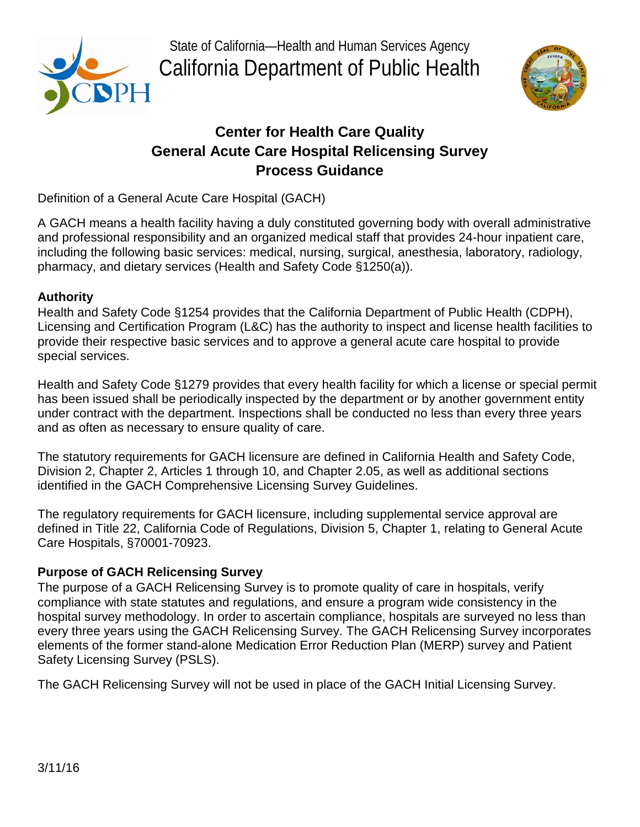

 California Department of Public Health State of California—Health and Human Services Agency



# **Center for Health Care Quality General Acute Care Hospital Relicensing Survey Process Guidance**

Definition of a General Acute Care Hospital (GACH)

A GACH means a health facility having a duly constituted governing body with overall administrative and professional responsibility and an organized medical staff that provides 24-hour inpatient care, including the following basic services: medical, nursing, surgical, anesthesia, laboratory, radiology, pharmacy, and dietary services (Health and Safety Code §1250(a)).

# **Authority**

Health and Safety Code §1254 provides that the California Department of Public Health (CDPH), Licensing and Certification Program (L&C) has the authority to inspect and license health facilities to provide their respective basic services and to approve a general acute care hospital to provide special services.

 has been issued shall be periodically inspected by the department or by another government entity Health and Safety Code §1279 provides that every health facility for which a license or special permit under contract with the department. Inspections shall be conducted no less than every three years and as often as necessary to ensure quality of care.

 Division 2, Chapter 2, Articles 1 through 10, and Chapter 2.05, as well as additional sections The statutory requirements for GACH licensure are defined in California Health and Safety Code, identified in the GACH Comprehensive Licensing Survey Guidelines.

 The regulatory requirements for GACH licensure, including supplemental service approval are defined in Title 22, California Code of Regulations, Division 5, Chapter 1, relating to General Acute Care Hospitals, §70001-70923.

# **Purpose of GACH Relicensing Survey**

The purpose of a GACH Relicensing Survey is to promote quality of care in hospitals, verify compliance with state statutes and regulations, and ensure a program wide consistency in the hospital survey methodology. In order to ascertain compliance, hospitals are surveyed no less than every three years using the GACH Relicensing Survey. The GACH Relicensing Survey incorporates elements of the former stand-alone Medication Error Reduction Plan (MERP) survey and Patient Safety Licensing Survey (PSLS).

The GACH Relicensing Survey will not be used in place of the GACH Initial Licensing Survey.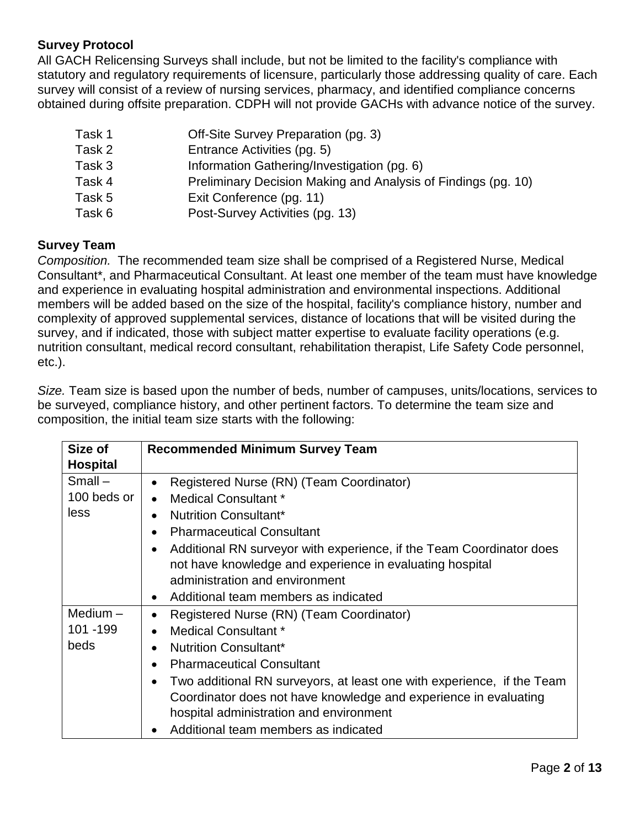# **Survey Protocol**

 All GACH Relicensing Surveys shall include, but not be limited to the facility's compliance with survey will consist of a review of nursing services, pharmacy, and identified compliance concerns statutory and regulatory requirements of licensure, particularly those addressing quality of care. Each obtained during offsite preparation. CDPH will not provide GACHs with advance notice of the survey.

| Task 1 | Off-Site Survey Preparation (pg. 3)                           |
|--------|---------------------------------------------------------------|
| Task 2 | Entrance Activities (pg. 5)                                   |
| Task 3 | Information Gathering/Investigation (pg. 6)                   |
| Task 4 | Preliminary Decision Making and Analysis of Findings (pg. 10) |
| Task 5 | Exit Conference (pg. 11)                                      |
| Task 6 | Post-Survey Activities (pg. 13)                               |

# **Survey Team**

 *Composition.* The recommended team size shall be comprised of a Registered Nurse, Medical Consultant\*, and Pharmaceutical Consultant. At least one member of the team must have knowledge and experience in evaluating hospital administration and environmental inspections. Additional etc.). members will be added based on the size of the hospital, facility's compliance history, number and complexity of approved supplemental services, distance of locations that will be visited during the survey, and if indicated, those with subject matter expertise to evaluate facility operations (e.g. nutrition consultant, medical record consultant, rehabilitation therapist, Life Safety Code personnel,

 be surveyed, compliance history, and other pertinent factors. To determine the team size and *Size.* Team size is based upon the number of beds, number of campuses, units/locations, services to composition, the initial team size starts with the following:

| Size of         | <b>Recommended Minimum Survey Team</b>                                              |
|-----------------|-------------------------------------------------------------------------------------|
| <b>Hospital</b> |                                                                                     |
| $Small -$       | Registered Nurse (RN) (Team Coordinator)<br>$\bullet$                               |
| 100 beds or     | Medical Consultant *<br>$\bullet$                                                   |
| less            | <b>Nutrition Consultant*</b><br>$\bullet$                                           |
|                 | <b>Pharmaceutical Consultant</b><br>$\bullet$                                       |
|                 | Additional RN surveyor with experience, if the Team Coordinator does<br>$\bullet$   |
|                 | not have knowledge and experience in evaluating hospital                            |
|                 | administration and environment                                                      |
|                 | Additional team members as indicated<br>$\bullet$                                   |
| Medium $-$      | Registered Nurse (RN) (Team Coordinator)<br>$\bullet$                               |
| 101 - 199       | Medical Consultant *<br>$\bullet$                                                   |
| beds            | <b>Nutrition Consultant*</b><br>$\bullet$                                           |
|                 | <b>Pharmaceutical Consultant</b><br>$\bullet$                                       |
|                 | Two additional RN surveyors, at least one with experience, if the Team<br>$\bullet$ |
|                 | Coordinator does not have knowledge and experience in evaluating                    |
|                 | hospital administration and environment                                             |
|                 | Additional team members as indicated                                                |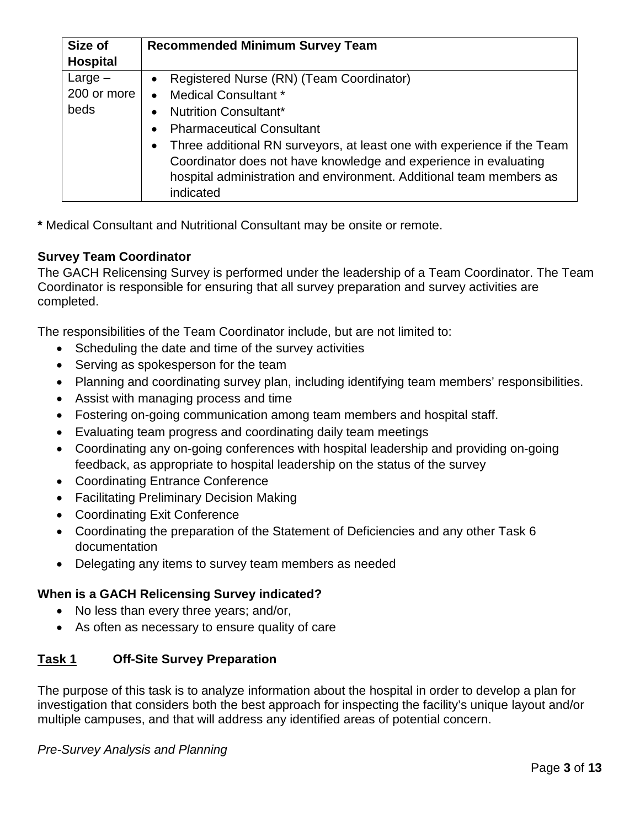| Size of         | <b>Recommended Minimum Survey Team</b>                                               |
|-----------------|--------------------------------------------------------------------------------------|
| <b>Hospital</b> |                                                                                      |
| $Large-$        | Registered Nurse (RN) (Team Coordinator)<br>$\bullet$                                |
| 200 or more     | Medical Consultant *<br>$\bullet$                                                    |
| beds            | <b>Nutrition Consultant*</b><br>$\bullet$                                            |
|                 | <b>Pharmaceutical Consultant</b><br>$\bullet$                                        |
|                 | Three additional RN surveyors, at least one with experience if the Team<br>$\bullet$ |
|                 | Coordinator does not have knowledge and experience in evaluating                     |
|                 | hospital administration and environment. Additional team members as                  |
|                 | indicated                                                                            |

**\*** Medical Consultant and Nutritional Consultant may be onsite or remote.

# **Survey Team Coordinator**

 The GACH Relicensing Survey is performed under the leadership of a Team Coordinator. The Team Coordinator is responsible for ensuring that all survey preparation and survey activities are completed.

The responsibilities of the Team Coordinator include, but are not limited to:

- Scheduling the date and time of the survey activities
- Serving as spokesperson for the team
- Planning and coordinating survey plan, including identifying team members' responsibilities.
- Assist with managing process and time
- Fostering on-going communication among team members and hospital staff.
- Evaluating team progress and coordinating daily team meetings
- Coordinating any on-going conferences with hospital leadership and providing on-going feedback, as appropriate to hospital leadership on the status of the survey
- Coordinating Entrance Conference
- Facilitating Preliminary Decision Making
- Coordinating Exit Conference
- Coordinating the preparation of the Statement of Deficiencies and any other Task 6 documentation
- Delegating any items to survey team members as needed

# **When is a GACH Relicensing Survey indicated?**

- No less than every three years; and/or,
- As often as necessary to ensure quality of care

# **Task 1 Off-Site Survey Preparation**

 multiple campuses, and that will address any identified areas of potential concern. The purpose of this task is to analyze information about the hospital in order to develop a plan for investigation that considers both the best approach for inspecting the facility's unique layout and/or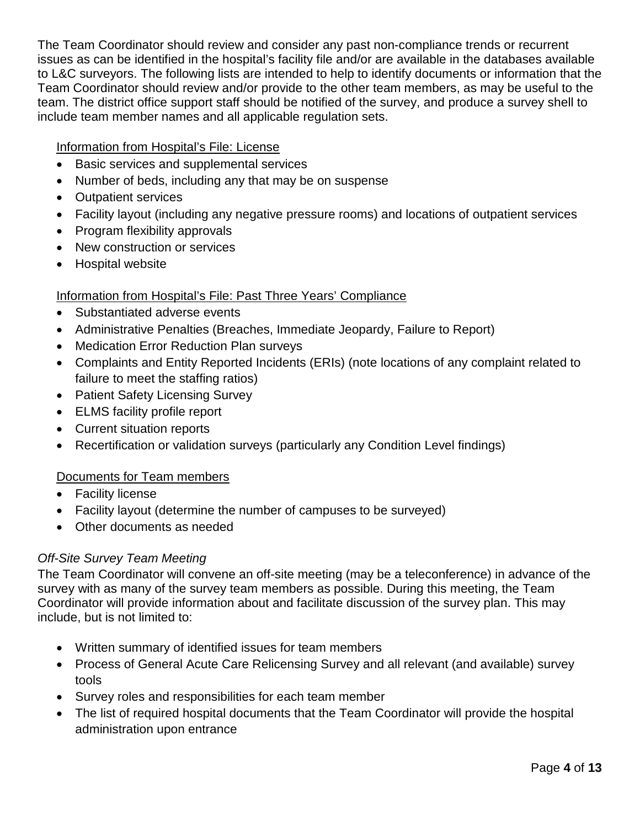Team Coordinator should review and/or provide to the other team members, as may be useful to the team. The district office support staff should be notified of the survey, and produce a survey shell to include team member names and all applicable regulation sets. The Team Coordinator should review and consider any past non-compliance trends or recurrent issues as can be identified in the hospital's facility file and/or are available in the databases available to L&C surveyors. The following lists are intended to help to identify documents or information that the

Information from Hospital's File: License

- Basic services and supplemental services
- Number of beds, including any that may be on suspense
- Outpatient services
- Facility layout (including any negative pressure rooms) and locations of outpatient services
- Program flexibility approvals
- New construction or services
- Hospital website

# Information from Hospital's File: Past Three Years' Compliance

- Substantiated adverse events
- Administrative Penalties (Breaches, Immediate Jeopardy, Failure to Report)
- Medication Error Reduction Plan surveys
- Complaints and Entity Reported Incidents (ERIs) (note locations of any complaint related to failure to meet the staffing ratios)
- Patient Safety Licensing Survey
- ELMS facility profile report
- Current situation reports
- Recertification or validation surveys (particularly any Condition Level findings)

### Documents for Team members

- Facility license
- Facility layout (determine the number of campuses to be surveyed)
- Other documents as needed

### *Off-Site Survey Team Meeting*

 The Team Coordinator will convene an off-site meeting (may be a teleconference) in advance of the Coordinator will provide information about and facilitate discussion of the survey plan. This may survey with as many of the survey team members as possible. During this meeting, the Team include, but is not limited to:

- Written summary of identified issues for team members
- Process of General Acute Care Relicensing Survey and all relevant (and available) survey tools
- Survey roles and responsibilities for each team member
- The list of required hospital documents that the Team Coordinator will provide the hospital administration upon entrance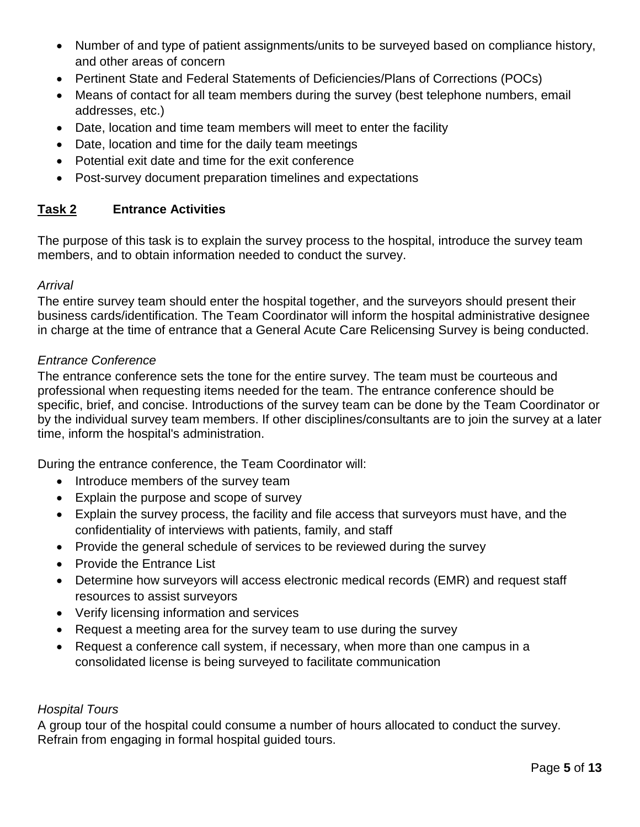- • Number of and type of patient assignments/units to be surveyed based on compliance history, and other areas of concern
- Pertinent State and Federal Statements of Deficiencies/Plans of Corrections (POCs)
- • Means of contact for all team members during the survey (best telephone numbers, email addresses, etc.)
- Date, location and time team members will meet to enter the facility
- Date, location and time for the daily team meetings
- Potential exit date and time for the exit conference
- Post-survey document preparation timelines and expectations

#### Task 2 **Entrance Activities**

 members, and to obtain information needed to conduct the survey. The purpose of this task is to explain the survey process to the hospital, introduce the survey team

#### *Arrival*

 in charge at the time of entrance that a General Acute Care Relicensing Survey is being conducted. The entire survey team should enter the hospital together, and the surveyors should present their business cards/identification. The Team Coordinator will inform the hospital administrative designee

#### *Entrance Conference*

 The entrance conference sets the tone for the entire survey. The team must be courteous and specific, brief, and concise. Introductions of the survey team can be done by the Team Coordinator or professional when requesting items needed for the team. The entrance conference should be by the individual survey team members. If other disciplines/consultants are to join the survey at a later time, inform the hospital's administration.

During the entrance conference, the Team Coordinator will:

- Introduce members of the survey team
- Explain the purpose and scope of survey
- Explain the survey process, the facility and file access that surveyors must have, and the confidentiality of interviews with patients, family, and staff
- Provide the general schedule of services to be reviewed during the survey
- Provide the Entrance List
- Determine how surveyors will access electronic medical records (EMR) and request staff resources to assist surveyors
- Verify licensing information and services
- Request a meeting area for the survey team to use during the survey
- Request a conference call system, if necessary, when more than one campus in a consolidated license is being surveyed to facilitate communication

#### *Hospital Tours*

A group tour of the hospital could consume a number of hours allocated to conduct the survey.<br>Refrain from engaging in formal hospital guided tours.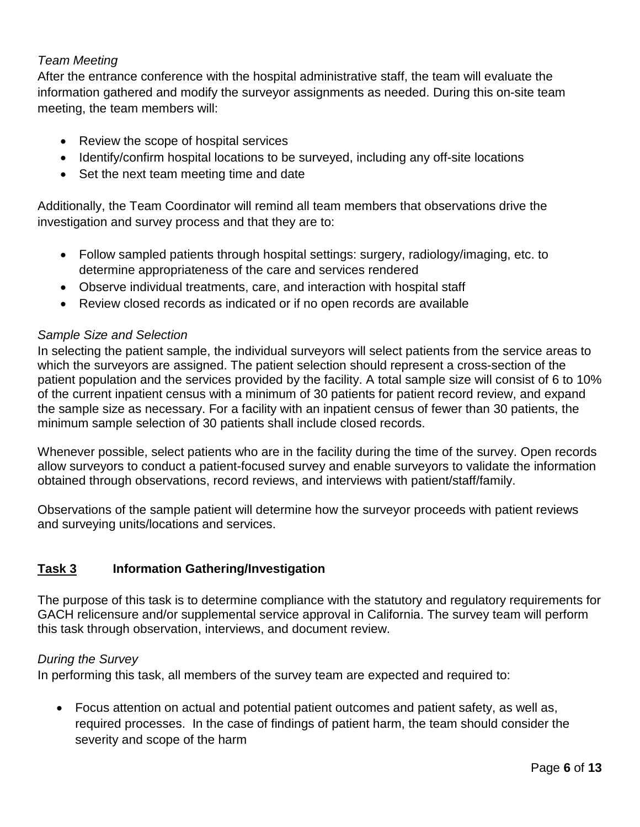# *Team Meeting*

After the entrance conference with the hospital administrative staff, the team will evaluate the information gathered and modify the surveyor assignments as needed. During this on-site team meeting, the team members will:

- Review the scope of hospital services
- Identify/confirm hospital locations to be surveyed, including any off-site locations
- Set the next team meeting time and date

 Additionally, the Team Coordinator will remind all team members that observations drive the investigation and survey process and that they are to:

- Follow sampled patients through hospital settings: surgery, radiology/imaging, etc. to determine appropriateness of the care and services rendered
- Observe individual treatments, care, and interaction with hospital staff
- Review closed records as indicated or if no open records are available

### *Sample Size and Selection*

 patient population and the services provided by the facility. A total sample size will consist of 6 to 10% the sample size as necessary. For a facility with an inpatient census of fewer than 30 patients, the In selecting the patient sample, the individual surveyors will select patients from the service areas to which the surveyors are assigned. The patient selection should represent a cross-section of the of the current inpatient census with a minimum of 30 patients for patient record review, and expand minimum sample selection of 30 patients shall include closed records.

 obtained through observations, record reviews, and interviews with patient/staff/family. Whenever possible, select patients who are in the facility during the time of the survey. Open records allow surveyors to conduct a patient-focused survey and enable surveyors to validate the information

 Observations of the sample patient will determine how the surveyor proceeds with patient reviews and surveying units/locations and services.

#### Task 3 **Information Gathering/Investigation**

 The purpose of this task is to determine compliance with the statutory and regulatory requirements for GACH relicensure and/or supplemental service approval in California. The survey team will perform this task through observation, interviews, and document review.

### *During the Survey*

In performing this task, all members of the survey team are expected and required to:

 required processes. In the case of findings of patient harm, the team should consider the severity and scope of the harm • Focus attention on actual and potential patient outcomes and patient safety, as well as,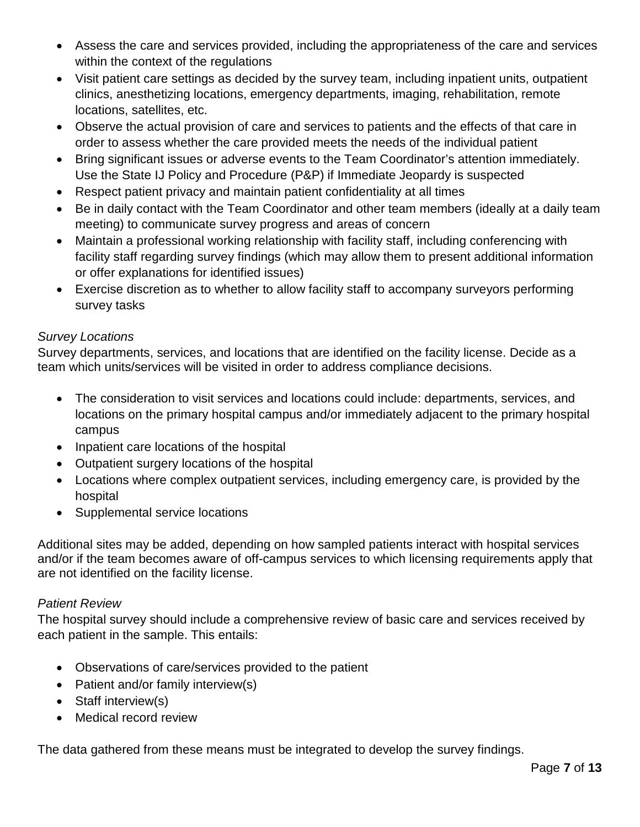- Assess the care and services provided, including the appropriateness of the care and services within the context of the regulations
- Visit patient care settings as decided by the survey team, including inpatient units, outpatient clinics, anesthetizing locations, emergency departments, imaging, rehabilitation, remote locations, satellites, etc.
- Observe the actual provision of care and services to patients and the effects of that care in order to assess whether the care provided meets the needs of the individual patient
- • Bring significant issues or adverse events to the Team Coordinator's attention immediately. Use the State IJ Policy and Procedure (P&P) if Immediate Jeopardy is suspected
- Respect patient privacy and maintain patient confidentiality at all times
- Be in daily contact with the Team Coordinator and other team members (ideally at a daily team meeting) to communicate survey progress and areas of concern
- facility staff regarding survey findings (which may allow them to present additional information • Maintain a professional working relationship with facility staff, including conferencing with or offer explanations for identified issues)
- Exercise discretion as to whether to allow facility staff to accompany surveyors performing survey tasks

# *Survey Locations*

Survey departments, services, and locations that are identified on the facility license. Decide as a team which units/services will be visited in order to address compliance decisions.

- The consideration to visit services and locations could include: departments, services, and locations on the primary hospital campus and/or immediately adjacent to the primary hospital campus
- Inpatient care locations of the hospital
- Outpatient surgery locations of the hospital
- Locations where complex outpatient services, including emergency care, is provided by the hospital
- Supplemental service locations

Additional sites may be added, depending on how sampled patients interact with hospital services and/or if the team becomes aware of off-campus services to which licensing requirements apply that are not identified on the facility license.

### *Patient Review*

 each patient in the sample. This entails: The hospital survey should include a comprehensive review of basic care and services received by

- Observations of care/services provided to the patient
- Patient and/or family interview(s)
- Staff interview(s)
- Medical record review

The data gathered from these means must be integrated to develop the survey findings.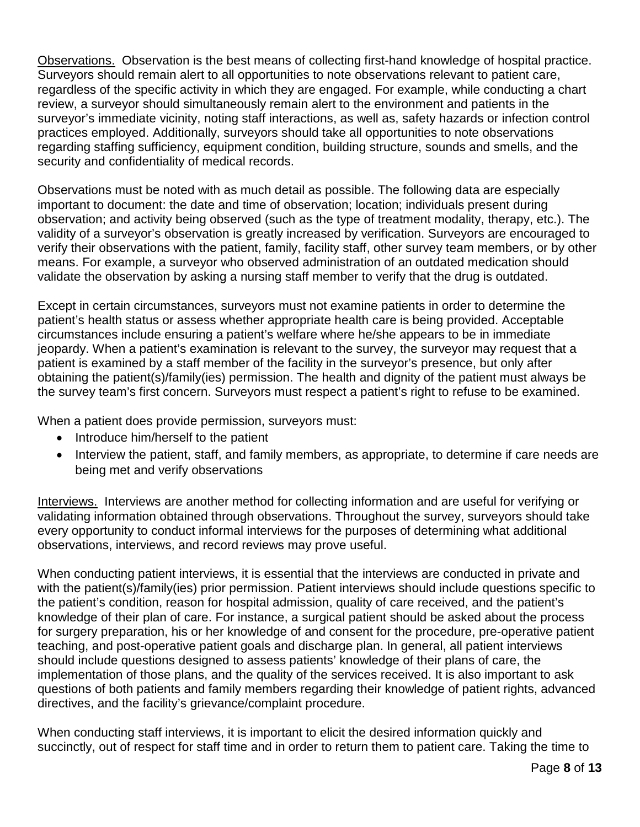Observations. Observation is the best means of collecting first-hand knowledge of hospital practice. regardless of the specific activity in which they are engaged. For example, while conducting a chart Surveyors should remain alert to all opportunities to note observations relevant to patient care, review, a surveyor should simultaneously remain alert to the environment and patients in the surveyor's immediate vicinity, noting staff interactions, as well as, safety hazards or infection control practices employed. Additionally, surveyors should take all opportunities to note observations regarding staffing sufficiency, equipment condition, building structure, sounds and smells, and the security and confidentiality of medical records.

 observation; and activity being observed (such as the type of treatment modality, therapy, etc.). The Observations must be noted with as much detail as possible. The following data are especially important to document: the date and time of observation; location; individuals present during validity of a surveyor's observation is greatly increased by verification. Surveyors are encouraged to verify their observations with the patient, family, facility staff, other survey team members, or by other means. For example, a surveyor who observed administration of an outdated medication should validate the observation by asking a nursing staff member to verify that the drug is outdated.

 Except in certain circumstances, surveyors must not examine patients in order to determine the patient is examined by a staff member of the facility in the surveyor's presence, but only after the survey team's first concern. Surveyors must respect a patient's right to refuse to be examined.<br>When a patient does provide permission, surveyors must: patient's health status or assess whether appropriate health care is being provided. Acceptable circumstances include ensuring a patient's welfare where he/she appears to be in immediate jeopardy. When a patient's examination is relevant to the survey, the surveyor may request that a obtaining the patient(s)/family(ies) permission. The health and dignity of the patient must always be

- Introduce him/herself to the patient
- Interview the patient, staff, and family members, as appropriate, to determine if care needs are being met and verify observations

 Interviews. Interviews are another method for collecting information and are useful for verifying or every opportunity to conduct informal interviews for the purposes of determining what additional validating information obtained through observations. Throughout the survey, surveyors should take observations, interviews, and record reviews may prove useful.

 with the patient(s)/family(ies) prior permission. Patient interviews should include questions specific to should include questions designed to assess patients' knowledge of their plans of care, the implementation of those plans, and the quality of the services received. It is also important to ask directives, and the facility's grievance/complaint procedure. When conducting patient interviews, it is essential that the interviews are conducted in private and the patient's condition, reason for hospital admission, quality of care received, and the patient's knowledge of their plan of care. For instance, a surgical patient should be asked about the process for surgery preparation, his or her knowledge of and consent for the procedure, pre-operative patient teaching, and post-operative patient goals and discharge plan. In general, all patient interviews questions of both patients and family members regarding their knowledge of patient rights, advanced

 succinctly, out of respect for staff time and in order to return them to patient care. Taking the time to When conducting staff interviews, it is important to elicit the desired information quickly and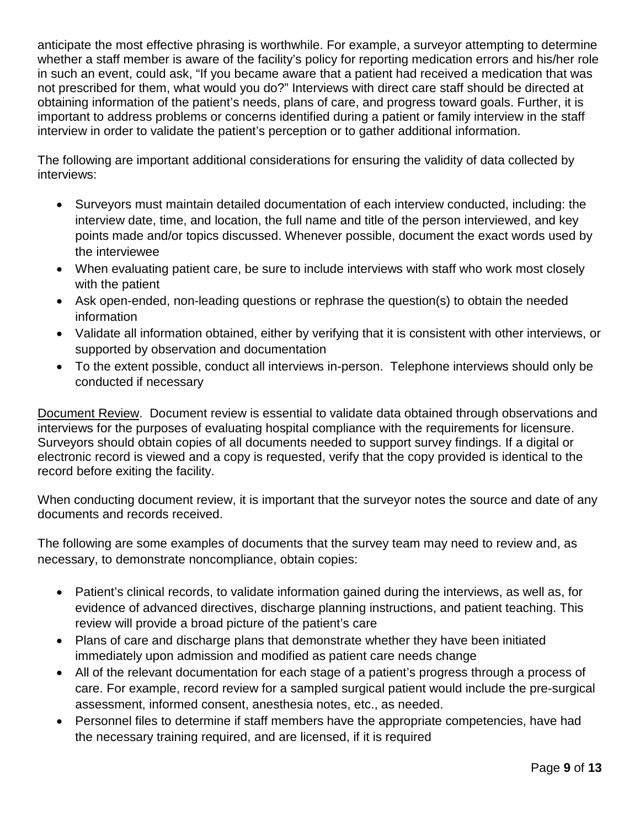not prescribed for them, what would you do?" Interviews with direct care staff should be directed at obtaining information of the patient's needs, plans of care, and progress toward goals. Further, it is interview in order to validate the patient's perception or to gather additional information. anticipate the most effective phrasing is worthwhile. For example, a surveyor attempting to determine whether a staff member is aware of the facility's policy for reporting medication errors and his/her role in such an event, could ask, "If you became aware that a patient had received a medication that was important to address problems or concerns identified during a patient or family interview in the staff

The following are important additional considerations for ensuring the validity of data collected by interviews:

- Surveyors must maintain detailed documentation of each interview conducted, including: the interview date, time, and location, the full name and title of the person interviewed, and key points made and/or topics discussed. Whenever possible, document the exact words used by the interviewee
- • When evaluating patient care, be sure to include interviews with staff who work most closely with the patient
- Ask open-ended, non-leading questions or rephrase the question(s) to obtain the needed information
- Validate all information obtained, either by verifying that it is consistent with other interviews, or supported by observation and documentation
- • To the extent possible, conduct all interviews in-person. Telephone interviews should only be conducted if necessary

 Document Review. Document review is essential to validate data obtained through observations and interviews for the purposes of evaluating hospital compliance with the requirements for licensure. Surveyors should obtain copies of all documents needed to support survey findings. If a digital or electronic record is viewed and a copy is requested, verify that the copy provided is identical to the record before exiting the facility.

When conducting document review, it is important that the surveyor notes the source and date of any documents and records received.

 The following are some examples of documents that the survey team may need to review and, as necessary, to demonstrate noncompliance, obtain copies:

- evidence of advanced directives, discharge planning instructions, and patient teaching. This • Patient's clinical records, to validate information gained during the interviews, as well as, for review will provide a broad picture of the patient's care
- Plans of care and discharge plans that demonstrate whether they have been initiated immediately upon admission and modified as patient care needs change
- assessment, informed consent, anesthesia notes, etc., as needed. • All of the relevant documentation for each stage of a patient's progress through a process of care. For example, record review for a sampled surgical patient would include the pre-surgical
- • Personnel files to determine if staff members have the appropriate competencies, have had the necessary training required, and are licensed, if it is required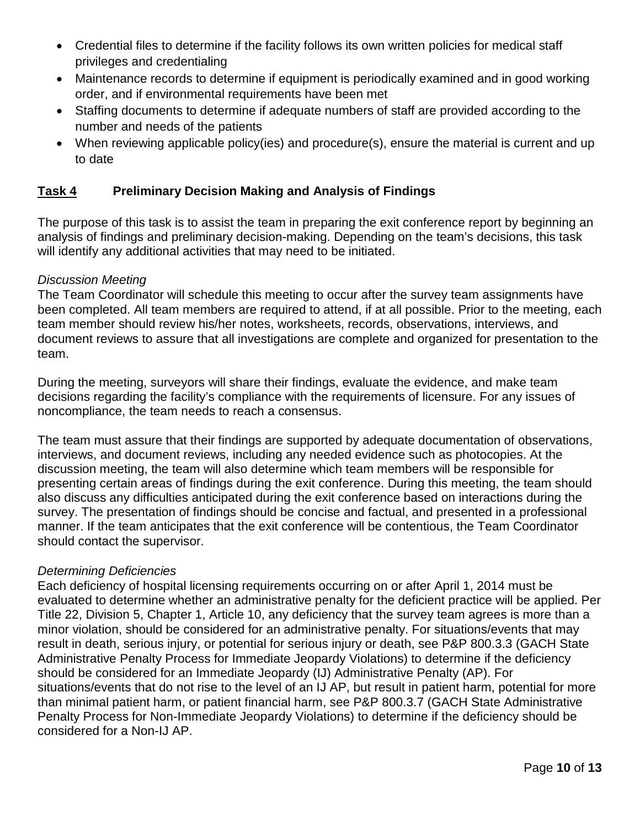- • Credential files to determine if the facility follows its own written policies for medical staff privileges and credentialing
- Maintenance records to determine if equipment is periodically examined and in good working order, and if environmental requirements have been met
- • Staffing documents to determine if adequate numbers of staff are provided according to the number and needs of the patients
- to date • When reviewing applicable policy(ies) and procedure(s), ensure the material is current and up

#### Task 4 **Preliminary Decision Making and Analysis of Findings**

The purpose of this task is to assist the team in preparing the exit conference report by beginning an analysis of findings and preliminary decision-making. Depending on the team's decisions, this task will identify any additional activities that may need to be initiated.

### *Discussion Meeting*

The Team Coordinator will schedule this meeting to occur after the survey team assignments have been completed. All team members are required to attend, if at all possible. Prior to the meeting, each team member should review his/her notes, worksheets, records, observations, interviews, and document reviews to assure that all investigations are complete and organized for presentation to the team.

During the meeting, surveyors will share their findings, evaluate the evidence, and make team decisions regarding the facility's compliance with the requirements of licensure. For any issues of noncompliance, the team needs to reach a consensus.

 should contact the supervisor. The team must assure that their findings are supported by adequate documentation of observations, interviews, and document reviews, including any needed evidence such as photocopies. At the discussion meeting, the team will also determine which team members will be responsible for presenting certain areas of findings during the exit conference. During this meeting, the team should also discuss any difficulties anticipated during the exit conference based on interactions during the survey. The presentation of findings should be concise and factual, and presented in a professional manner. If the team anticipates that the exit conference will be contentious, the Team Coordinator

### *Determining Deficiencies*

 Each deficiency of hospital licensing requirements occurring on or after April 1, 2014 must be Title 22, Division 5, Chapter 1, Article 10, any deficiency that the survey team agrees is more than a result in death, serious injury, or potential for serious injury or death, see P&P 800.3.3 (GACH State evaluated to determine whether an administrative penalty for the deficient practice will be applied. Per minor violation, should be considered for an administrative penalty. For situations/events that may Administrative Penalty Process for Immediate Jeopardy Violations) to determine if the deficiency should be considered for an Immediate Jeopardy (IJ) Administrative Penalty (AP). For situations/events that do not rise to the level of an IJ AP, but result in patient harm, potential for more than minimal patient harm, or patient financial harm, see P&P 800.3.7 (GACH State Administrative Penalty Process for Non-Immediate Jeopardy Violations) to determine if the deficiency should be [considered for](http://cdphintranet/sites/lncintranet/Pages/PPManualVolumeandFacilityType.aspx) a Non-IJ AP.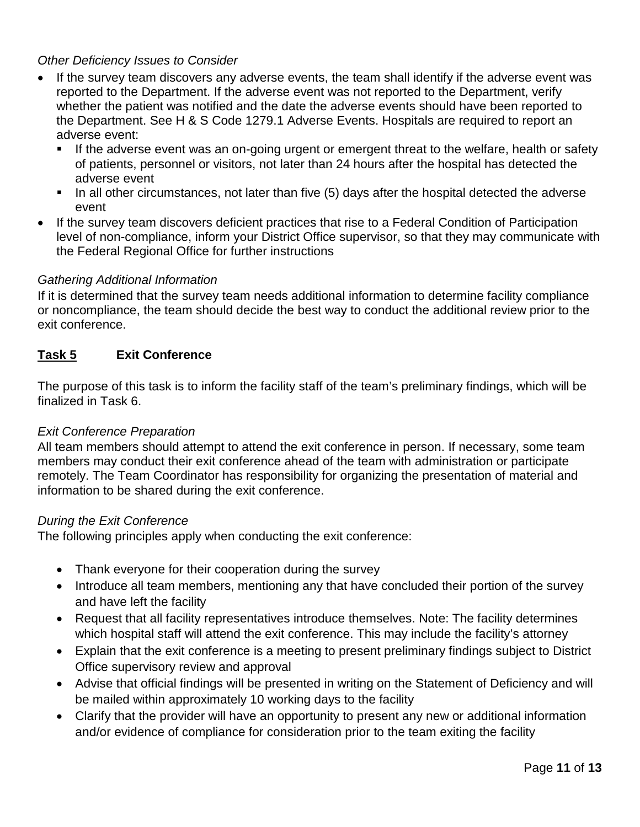## *Other Deficiency Issues to Consider*

- the Department. See H & S Code 1279.1 Adverse Events. Hospitals are required to report an • If the survey team discovers any adverse events, the team shall identify if the adverse event was reported to the Department. If the adverse event was not reported to the Department, verify whether the patient was notified and the date the adverse events should have been reported to adverse event:
	- If the adverse event was an on-going urgent or emergent threat to the welfare, health or safety of patients, personnel or visitors, not later than 24 hours after the hospital has detected the adverse event
	- $\blacksquare$  In all other circumstances, not later than five (5) days after the hospital detected the adverse event
- the Federal Regional Office for further instructions • If the survey team discovers deficient practices that rise to a Federal Condition of Participation level of non-compliance, inform your District Office supervisor, so that they may communicate with

### *Gathering Additional Information*

 or noncompliance, the team should decide the best way to conduct the additional review prior to the If it is determined that the survey team needs additional information to determine facility compliance exit conference.

#### Task 5 **Exit Conference**

 The purpose of this task is to inform the facility staff of the team's preliminary findings, which will be finalized in Task 6.

### *Exit Conference Preparation*

 information to be shared during the exit conference. All team members should attempt to attend the exit conference in person. If necessary, some team members may conduct their exit conference ahead of the team with administration or participate remotely. The Team Coordinator has responsibility for organizing the presentation of material and

### *During the Exit Conference*

The following principles apply when conducting the exit conference:

- Thank everyone for their cooperation during the survey
- Introduce all team members, mentioning any that have concluded their portion of the survey and have left the facility
- Request that all facility representatives introduce themselves. Note: The facility determines which hospital staff will attend the exit conference. This may include the facility's attorney
- • Explain that the exit conference is a meeting to present preliminary findings subject to District Office supervisory review and approval
- • Advise that official findings will be presented in writing on the Statement of Deficiency and will be mailed within approximately 10 working days to the facility
- and/or evidence of compliance for consideration prior to the team exiting the facility • Clarify that the provider will have an opportunity to present any new or additional information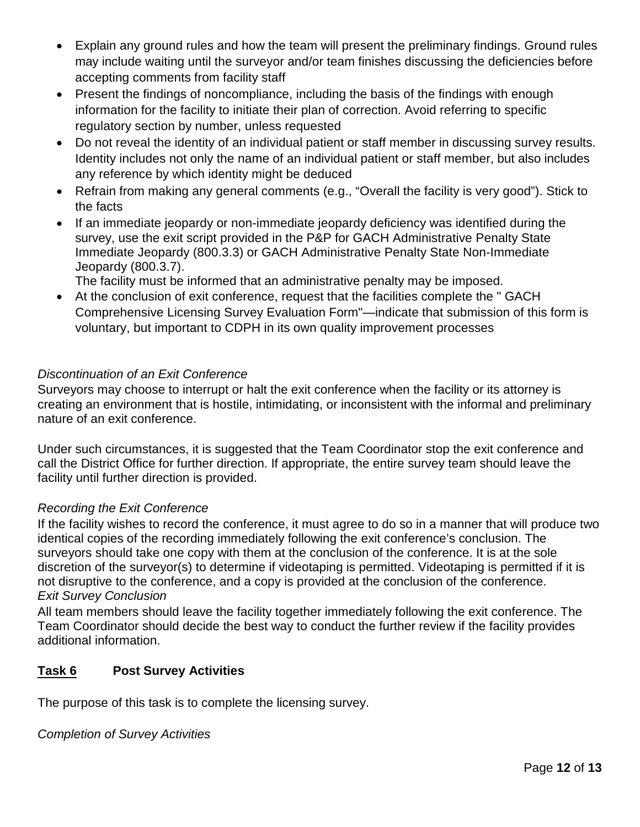- • Explain any ground rules and how the team will present the preliminary findings. Ground rules may include waiting until the surveyor and/or team finishes discussing the deficiencies before accepting comments from facility staff
- • Present the findings of noncompliance, including the basis of the findings with enough information for the facility to initiate their plan of correction. Avoid referring to specific regulatory section by number, unless requested
- Do not reveal the identity of an individual patient or staff member in discussing survey results. Identity includes not only the name of an individual patient or staff member, but also includes any reference by which identity might be deduced
- Refrain from making any general comments (e.g., "Overall the facility is very good"). Stick to the facts
- • If an immediate jeopardy or non-immediate jeopardy deficiency was identified during the survey, use the exit script provided in the P&P for GACH Administrative Penalty State Immediate Jeopardy (800.3.3) or GACH Administrative Penalty State Non-Immediate Jeopardy (800.3.7).

[The facility must be informed that an administrative penalty may be imposed.](http://cdphintranet/sites/lncintranet/Pages/PPManualVolumeandFacilityType.aspx)

• At the conclusion of exit conference, request that the facilities complete the " GACH Comprehensive Licensing Survey Evaluation Form"—indicate that submission of this form is voluntary, but important to CDPH in its own quality improvement processes

# *Discontinuation of an Exit Conference*

 Surveyors may choose to interrupt or halt the exit conference when the facility or its attorney is nature of an exit conference. creating an environment that is hostile, intimidating, or inconsistent with the informal and preliminary

Under such circumstances, it is suggested that the Team Coordinator stop the exit conference and call the District Office for further direction. If appropriate, the entire survey team should leave the facility until further direction is provided.

# *Recording the Exit Conference*

 identical copies of the recording immediately following the exit conference's conclusion. The surveyors should take one copy with them at the conclusion of the conference. It is at the sole If the facility wishes to record the conference, it must agree to do so in a manner that will produce two discretion of the surveyor(s) to determine if videotaping is permitted. Videotaping is permitted if it is not disruptive to the conference, and a copy is provided at the conclusion of the conference. *Exit Survey Conclusion* 

All team members should leave the facility together immediately following the exit conference. The Team Coordinator should decide the best way to conduct the further review if the facility provides additional information.

#### Task 6 **Post Survey Activities**

The purpose of this task is to complete the licensing survey.

*Completion of Survey Activities*